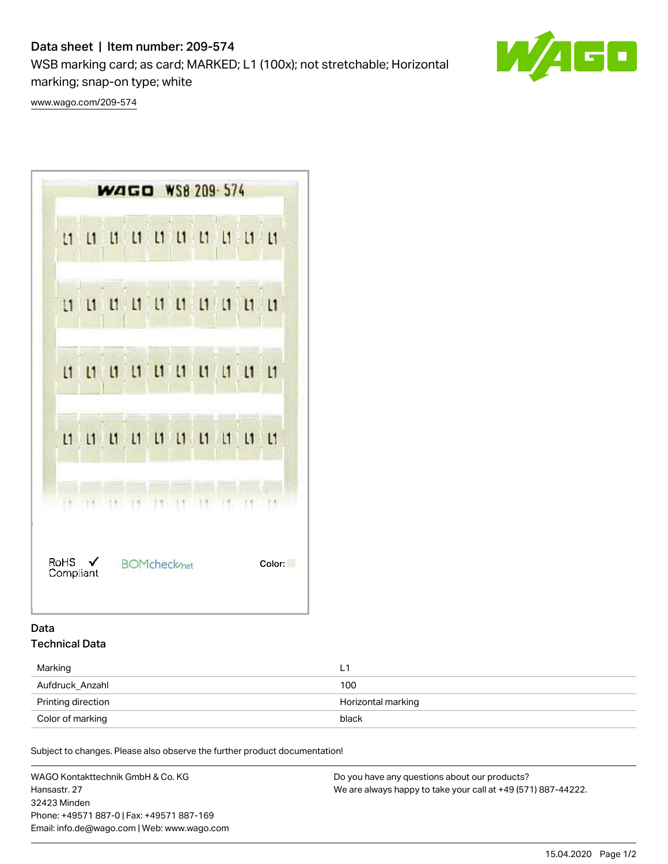# Data sheet | Item number: 209-574

WSB marking card; as card; MARKED; L1 (100x); not stretchable; Horizontal marking; snap-on type; white



[www.wago.com/209-574](http://www.wago.com/209-574)



## Data Technical Data

| Marking            | L                  |
|--------------------|--------------------|
| Aufdruck_Anzahl    | 100                |
| Printing direction | Horizontal marking |
| Color of marking   | black              |

Subject to changes. Please also observe the further product documentation!

WAGO Kontakttechnik GmbH & Co. KG Hansastr. 27 32423 Minden Phone: +49571 887-0 | Fax: +49571 887-169 Email: info.de@wago.com | Web: www.wago.com Do you have any questions about our products? We are always happy to take your call at +49 (571) 887-44222.